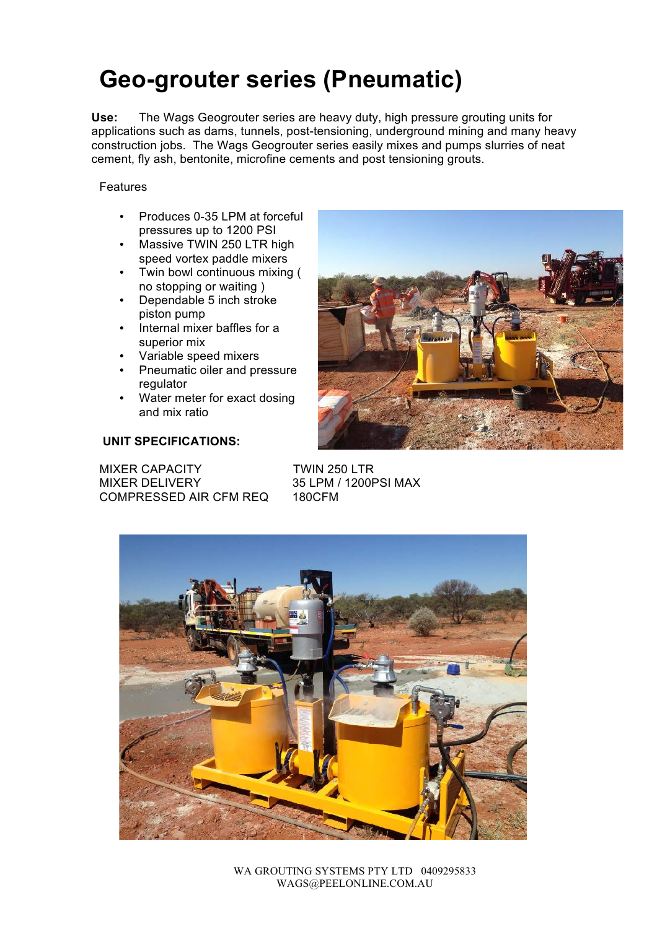## **Geo-grouter series (Pneumatic)**

**Use:** The Wags Geogrouter series are heavy duty, high pressure grouting units for applications such as dams, tunnels, post-tensioning, underground mining and many heavy construction jobs. The Wags Geogrouter series easily mixes and pumps slurries of neat cement, fly ash, bentonite, microfine cements and post tensioning grouts.

### Features

- Produces 0-35 LPM at forceful pressures up to 1200 PSI
- Massive TWIN 250 LTR high speed vortex paddle mixers
- Twin bowl continuous mixing ( no stopping or waiting )
- Dependable 5 inch stroke piston pump
- Internal mixer baffles for a superior mix
- Variable speed mixers
- Pneumatic oiler and pressure regulator
- Water meter for exact dosing and mix ratio

### **UNIT SPECIFICATIONS:**

MIXER CAPACITY TWIN 250 LTR MIXER DELIVERY 35 LPM / 1200PSI MAX COMPRESSED AIR CFM REQ 180CFM





WA GROUTING SYSTEMS PTY LTD 0409295833 WAGS@PEELONLINE.COM.AU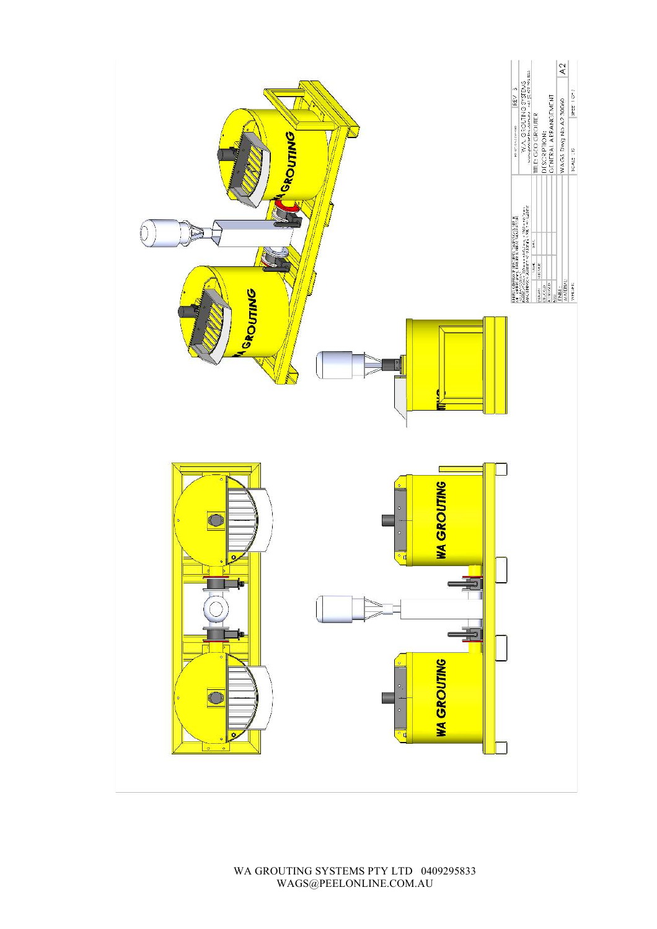

WA GROUTING SYSTEMS PTY LTD 0409295833 WAGS@PEELONLINE.COM.AU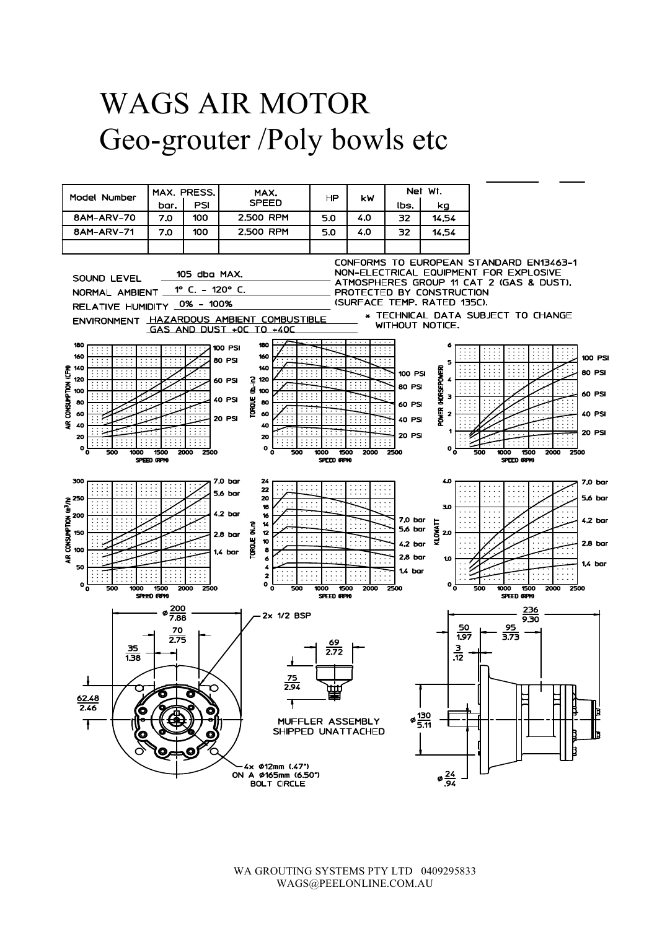# WAGS AIR MOTOR Geo-grouter /Poly bowls etc



WA GROUTING SYSTEMS PTY LTD 0409295833 WAGS@PEELONLINE.COM.AU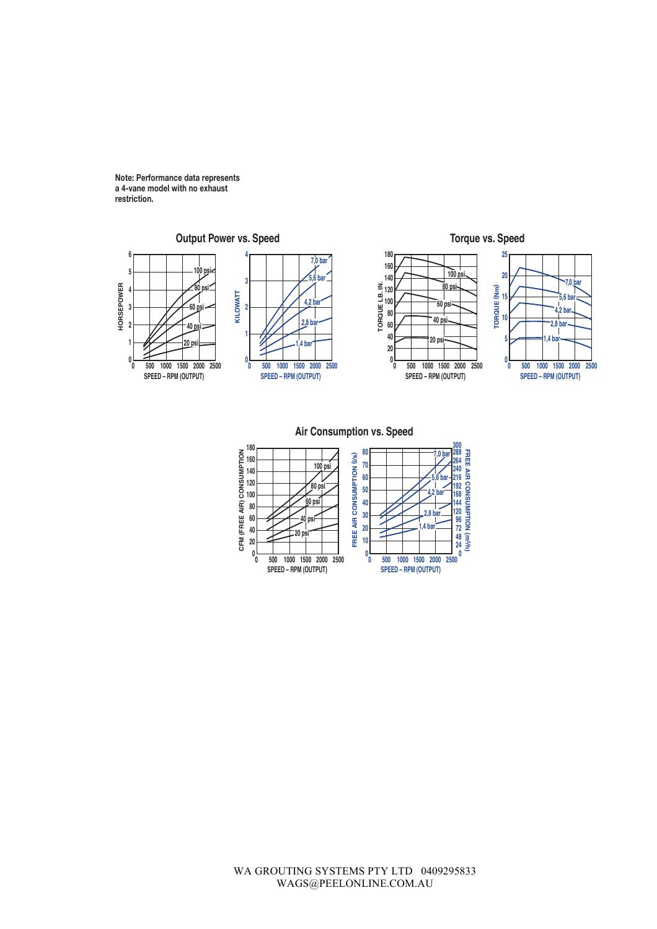**Note: Performance data represents a 4-vane model with no exhaust restriction.**

• **International Contract of the Contract of the Contract of the Contract of the Contract of the Contract of the Contract of the Contract of the Contract of the Contract of the Contract of the Contract of the Contract of t** 



**Air Consumption vs. Speed**

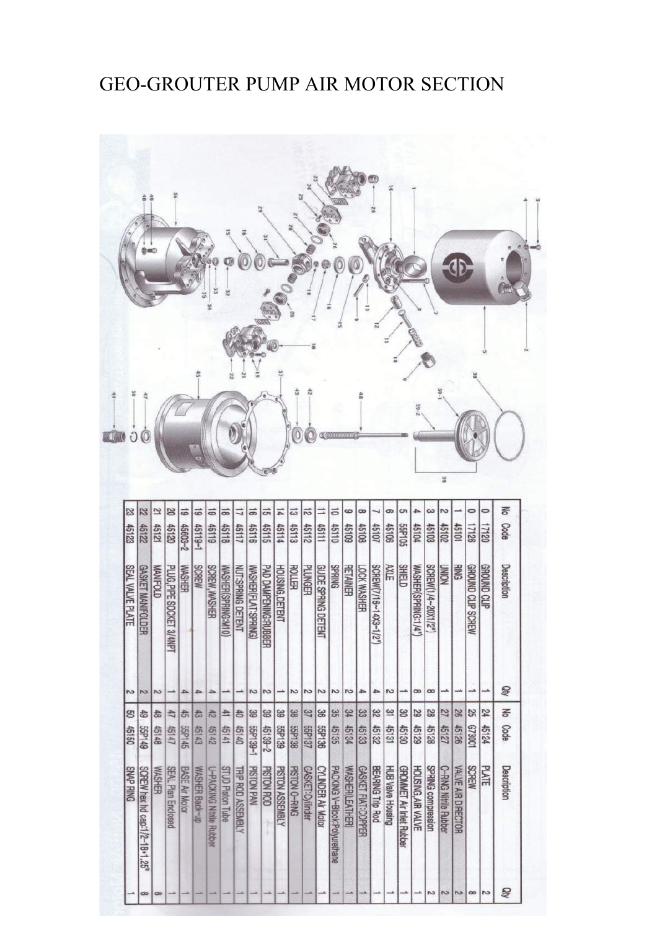### GEO-GROUTER PUMP AIR MOTOR SECTION